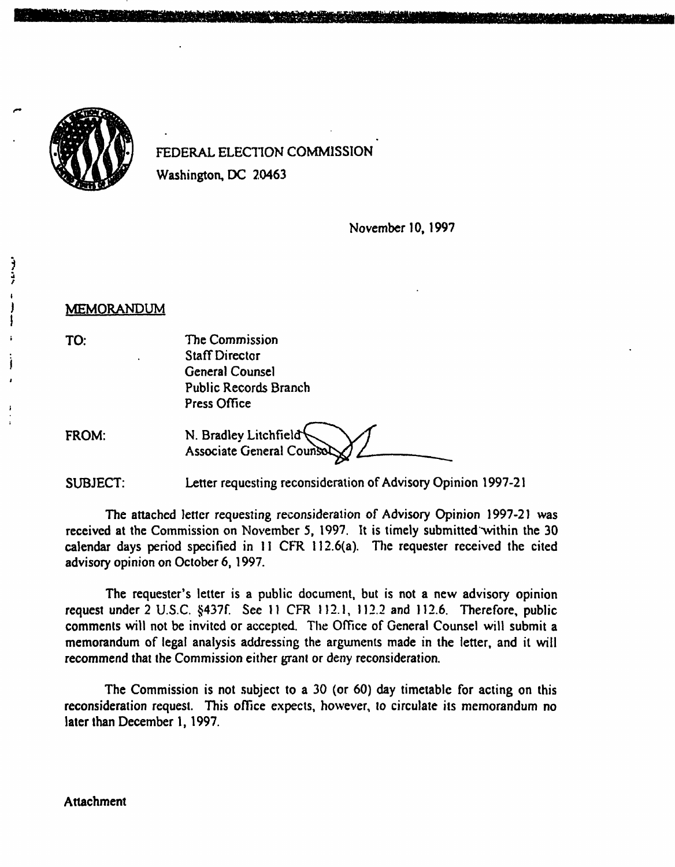

FEDERAL ELECTION COMMISSION Washington, DC 20463

November 10, 1997

MEMORANDUM

TO:

ì

The Commission Staff Director General Counsel Public Records Branch Press Office

FROM: N. Bradley Litchfield<sup>4</sup> Associate General Counsel

SUBJECT: Letter requesting reconsideration of Advisory Opinion 1997-21

The attached letter requesting reconsideration of Advisory Opinion 1997-21 was received at the Commission on November 5, 1997. It is timely submitted within the 30 calendar days period specified in II CFR 112.6(a). The requester received the cited advisory opinion on October 6, 1997.

The requester's letter is a public document, but is not a new advisory opinion request under 2 U.S.C. §437f. See 11 CFR 112.1, 112.2 and 112.6. Therefore, public comments will not be invited or accepted. The Office of General Counsel will submit a memorandum of legal analysis addressing the arguments made in the letter, and it will recommend that the Commission either grant or deny reconsideration.

The Commission is not subject to a 30 (or 60) day timetable for acting on this reconsideration request. This office expects, however, to circulate its memorandum no later than December 1, 1997.

## Attachment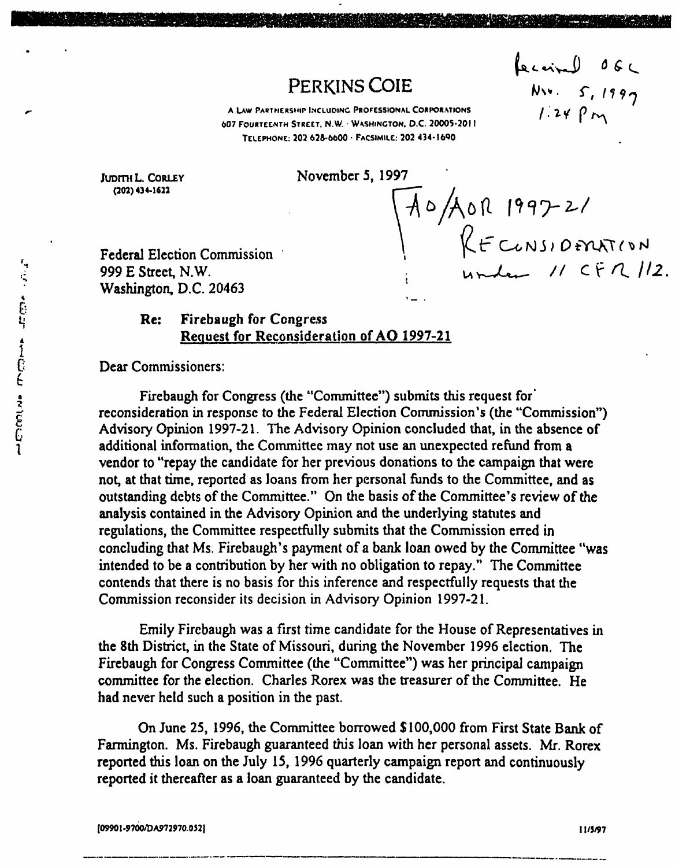# PERKINS COIE

fecainl 06C<br>Nu. 5, 1997<br>1:24 Pm

A LAW PARTNERSHIP INCLUDING PROFESSIONAL CORPORATIONS 607 FOURTEENTH STREET. N.W. WASHINGTON. D.C. 20005-2011 TELEPHONE: 202 628-6600 • FACSIMILE: 202 434-l6<>0

JUDITH L. CORLEY November 5, 1997

(202)434-1622

Federal Election Commission ,; 999 E Street, N.W. Washington, D.C. 20463

AO/AOR 1997-21<br>RECUNSIDENATION<br>1 under 11 CFR 112.

## Re: Firebaugh for Congress 4 Request for Reconsideration of AO 1997-21

Dear Commissioners:

Firebaugh for Congress (the "Committee") submits this request for reconsideration in response to the Federal Election Commission's (the "Commission") £ Advisory Opinion 1997-21. The Advisory Opinion concluded that, in the absence of additional information, the Committee may not use an unexpected refund from a vendor to "repay the candidate for her previous donations to the campaign that were not, at that time, reported as loans from her personal funds to the Committee, and as outstanding debts of the Committee." On the basis of the Committee's review of the analysis contained in the Advisory Opinion and the underlying statutes and regulations, the Committee respectfully submits that the Commission erred in concluding that Ms. Firebaugh's payment of a bank loan owed by the Committee "was intended to be a contribution by her with no obligation to repay." The Committee contends that there is no basis for this inference and respectfully requests that the Commission reconsider its decision in Advisory Opinion 1997-21.

Emily Firebaugh was a first time candidate for the House of Representatives in the 8th District, in the State of Missouri, during the November 1996 election. The Firebaugh for Congress Committee (the "Committee") was her principal campaign committee for the election. Charles Rorex was the treasurer of the Committee. He had never held such a position in the past.

On June 25, 1996, the Committee borrowed \$100,000 from First State Bank of Farmington. Ms. Firebaugh guaranteed this loan with her personal assets. Mr. Rorex reported this loan on the July 15, 1996 quarterly campaign report and continuously reported it thereafter as a loan guaranteed by the candidate.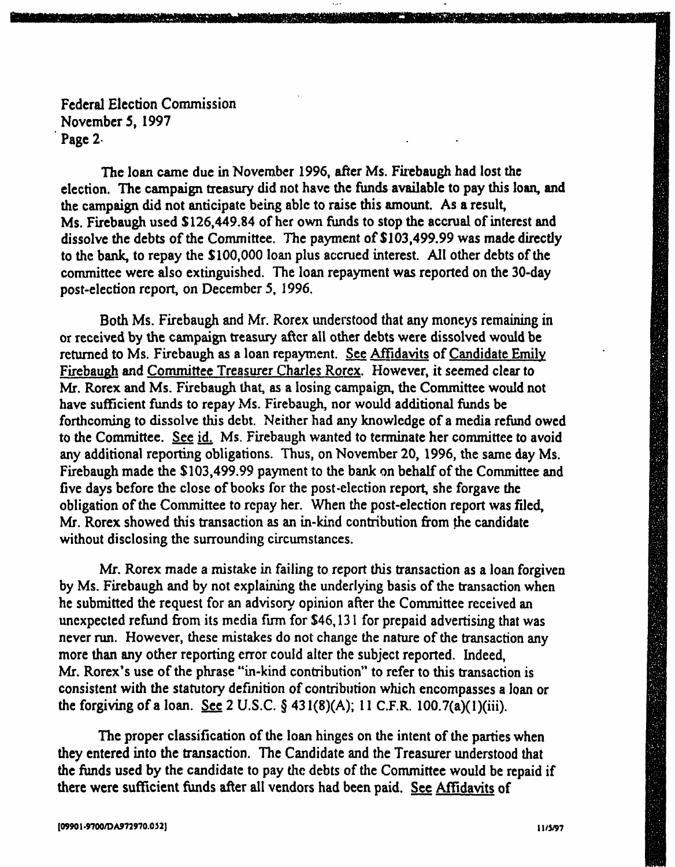The loan came due in November 1996, after Ms. Firebaugh had lost the election. The campaign treasury did not have the funds available to pay this loan, and the campaign did not anticipate being able to raise this amount. As a result, Ms. Firebaugh used \$126,449.84 of her own funds to stop the accrual of interest and dissolve the debts of the Committee. The payment of \$103,499.99 was made directly to the bank, to repay the \$100,000 loan plus accrued interest. All other debts of the committee were also extinguished. The loan repayment was reported on the 30-day post-election report, on December 5, 1996.

Both Ms. Firebaugh and Mr. Rorex understood that any moneys remaining in or received by the campaign treasury after all other debts were dissolved would be returned to Ms. Firebaugh as a loan repayment. See Affidavits of Candidate Emily Firebaugh and Committee Treasurer Charles Rorcx. However, it seemed clear to Mr. Rorex and Ms. Firebaugh that, as a losing campaign, the Committee would not have sufficient funds to repay Ms. Firebaugh, nor would additional funds be forthcoming to dissolve this debt. Neither had any knowledge of a media refund owed to the Committee. See id. Ms. Firebaugh wanted to terminate her committee to avoid any additional reporting obligations. Thus, on November 20, 1996, the same day Ms. Firebaugh made the \$103,499.99 payment to the bank on behalf of the Committee and five days before the close of books for the post-election report, she forgave the obligation of the Committee to repay her. When the post-election report was filed, Mr. Rorex showed this transaction as an in-kind contribution from the candidate without disclosing the surrounding circumstances.

Mr. Rorex made a mistake in failing to report this transaction as a loan forgiven by Ms. Firebaugh and by not explaining the underlying basis of the transaction when he submitted the request for an advisory opinion after the Committee received an unexpected refund from its media firm for \$46,131 for prepaid advertising that was never run. However, these mistakes do not change the nature of the transaction any more than any other reporting error could alter the subject reported. Indeed, Mr. Rorex's use of the phrase "in-kind contribution" to refer to this transaction is consistent with the statutory definition of contribution which encompasses a loan or the forgiving of a loan. See 2 U.S.C.  $\S$  431(8)(A); 11 C.F.R. 100.7(a)(1)(iii).

The proper classification of the loan hinges on the intent of the parties when they entered into the transaction. The Candidate and the Treasurer understood that the funds used by the candidate to pay die debts of the Committee would be repaid if there were sufficient funds after all vendors had been paid. See Affidavits of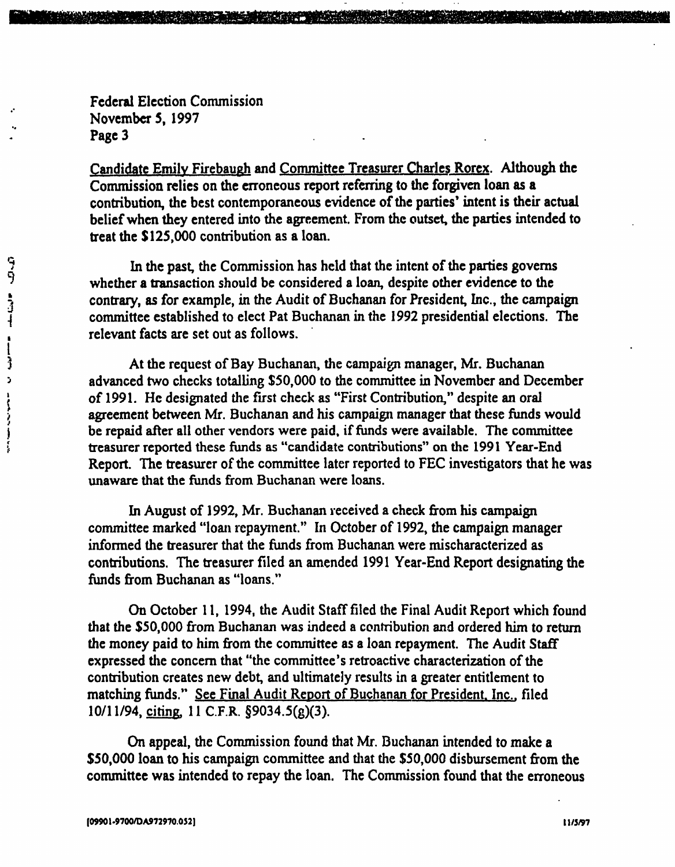Candidate Emily Firebaugh and Committee Treasurer Charles Rorcx. Although the Commission relies on the erroneous report referring to the forgiven loan as a contribution, the best contemporaneous evidence of the parties' intent is their actual belief when they entered into the agreement. From the outset, the parties intended to treat the \$125,000 contribution as a loan.

In the past, the Commission has held that the intent of the parties governs whether a transaction should be considered a loan, despite other evidence to the contrary, as for example, in the Audit of Buchanan for President, Inc., the campaign committee established to elect Pat Buchanan in the 1992 presidential elections. The relevant facts are set out as follows.

At the request of Bay Buchanan, the campaign manager, Mr. Buchanan advanced two checks totalling \$50,000 to the committee in November and December of 1991. He designated the first check as "First Contribution," despite an oral agreement between Mr. Buchanan and his campaign manager that these funds would be repaid after all other vendors were paid, if funds were available. The committee treasurer reported these funds as "candidate contributions" on the 1991 Year-End Report. The treasurer of the committee later reported to FEC investigators that he was unaware that the funds from Buchanan were loans.

In August of 1992, Mr. Buchanan received a check from his campaign committee marked "loan repayment." In October of 1992, the campaign manager informed the treasurer that the funds from Buchanan were mischaracterized as contributions. The treasurer filed an amended 1991 Year-End Report designating the funds from Buchanan as "loans."

On October 11, 1994, the Audit Staff filed the Final Audit Report which found that the \$50,000 from Buchanan was indeed a contribution and ordered him to return the money paid to him from the committee as a loan repayment. The Audit Staff expressed the concern that "the committee's retroactive characterization of the contribution creates new debt, and ultimately results in a greater entitlement to matching funds." See Final Audit Report of Buchanan for President. Inc.. filed 10/11/94, citing, 11 C.F.R. §9034.5(g)(3).

On appeal, the Commission found that Mr. Buchanan intended to make a \$50,000 loan to his campaign committee and that the \$50,000 disbursement from the committee was intended to repay the loan. The Commission found that the erroneous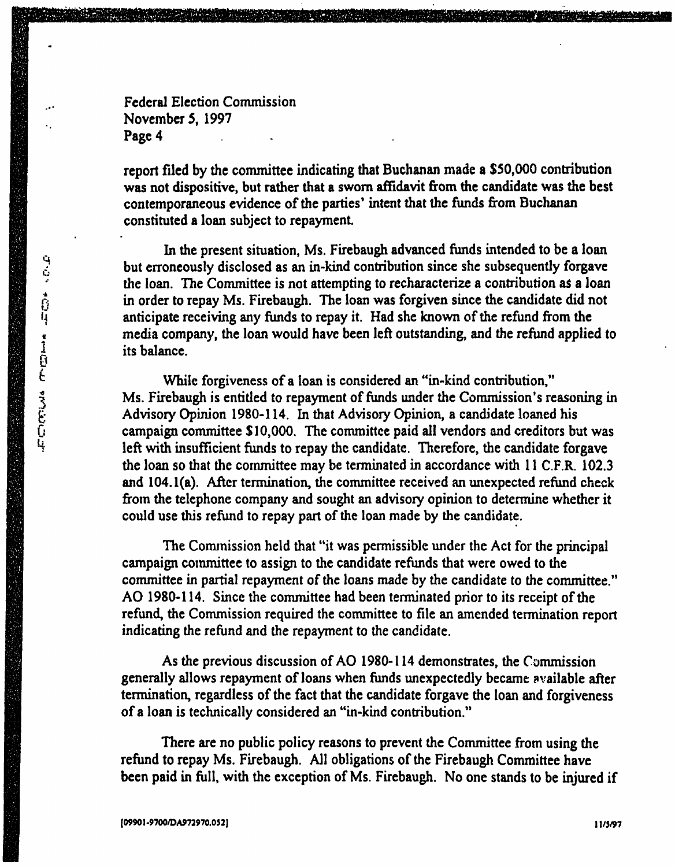report filed by the committee indicating that Buchanan made a \$50,000 contribution was not dispositive, but rather that a sworn affidavit from the candidate was the best contemporaneous evidence of the parties' intent that the funds from Buchanan constituted a loan subject to repayment.

In the present situation, Ms. Firebaugh advanced funds intended to be a loan but erroneously disclosed as an in-kind contribution since she subsequently forgave the loan. The Committee is not attempting to recharacterize a contribution as a loan in order to repay Ms. Firebaugh. The loan was forgiven since the candidate did not anticipate receiving any funds to repay it. Had she known of the refund from the media company, the loan would have been left outstanding, and the refund applied to its balance.

While forgiveness of a loan is considered an "in-kind contribution," Ms. Firebaugh is entitled to repayment of funds under the Commission's reasoning in Advisory Opinion 1980-114. In that Advisory Opinion, a candidate loaned his campaign committee \$10,000. The committee paid all vendors and creditors but was left with insufficient funds to repay the candidate. Therefore, the candidate forgave the loan so that the committee may be terminated in accordance with 11 C.F.R. 102.3 and 104. l(a). After termination, the committee received an unexpected refund check from the telephone company and sought an advisory opinion to determine whether it could use this refund to repay part of the loan made by the candidate.

The Commission held that "it was permissible under the Act for the principal campaign committee to assign to the candidate refunds that were owed to the committee in partial repayment of the loans made by the candidate to the committee." AO 1980-114. Since the committee had been terminated prior to its receipt of the refund, the Commission required the committee to file an amended termination report indicating the refund and the repayment to the candidate.

As the previous discussion of AO 1980-114 demonstrates, the Commission generally allows repayment of loans when funds unexpectedly became available after termination, regardless of the fact that the candidate forgave the loan and forgiveness of a loan is technically considered an "in-kind contribution."

There are no public policy reasons to prevent the Committee from using the refund to repay Ms. Firebaugh. All obligations of the Firebaugh Committee have been paid in full, with the exception of Ms. Firebaugh. No one stands to be injured if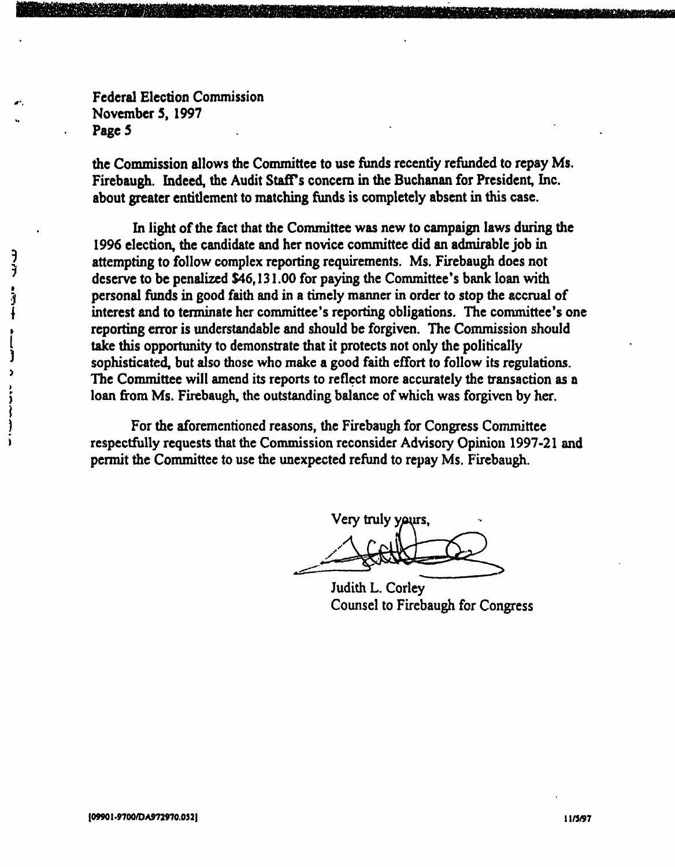the Commission allows the Committee to use funds recently refunded to repay Ms. Firebaugh. Indeed, the Audit Staffs concern in the Buchanan for President, Inc. about greater entitlement to matching funds is completely absent in this case.

In light of the fact that the Committee was new to campaign laws during the 1996 election, the candidate and her novice committee did an admirable job in attempting to follow complex reporting requirements. Ms. Firebaugh does not deserve to be penalized \$46,131.00 for paying the Committee's bank loan with personal funds in good faith and in a timely manner in order to stop the accrual of interest and to terminate her committee's reporting obligations. The committee's one reporting error is understandable and should be forgiven. The Commission should take this opportunity to demonstrate that it protects not only the politically sophisticated, but also those who make a good faith effort to follow its regulations. The Committee will amend its reports to reflect more accurately the transaction as a loan from Ms. Firebaugh, the outstanding balance of which was forgiven by her.

For the aforementioned reasons, the Firebaugh for Congress Committee respectfully requests that the Commission reconsider Advisory Opinion 1997-21 and permit the Committee to use the unexpected refund to repay Ms. Firebaugh.

Very truly yaurs

Judith L. Corley Counsel to Firebaugh for Congress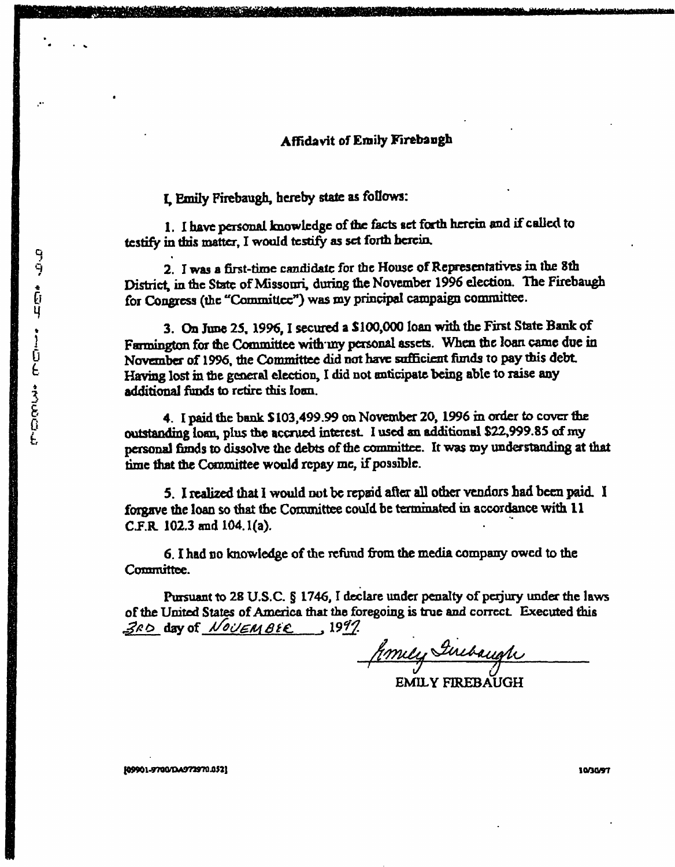### Affidavit of Emily Firebangh

I, Emily Firebaugh, hereby state as follows:

1. I have personal knowledge of the facts set forth herein and if called to testify in this matter, I would testify as set forth herein,

2. I was a first-time candidate for the House of Representatives in the 8th District, in the State of Missouri, during the November 1996 election. The Firebaugh for Congress (the "Committee") was my principal campaign committee.

3. On June 25. 1996,1 secured a \$100,000 loan with the First State Bank of Farmington for the Committee with my personal assets. When the loan came due in November of 1996, the Committee did not have sufficient funds to pay mis debt Having lost in the general election, I did not anticipate being able to raise any additional funds to retire this loan.

4. I paid the bank  $$103,499.99$  on November 20, 1996 in order to cover the outstanding loan, plus the accrued interest I used an additional \$22,999.85 of my personal funds to dissolve the debts of the committee. It was my understanding at that time that the Committee would repay me, if possible.

5. I realized that I would not be repaid after all other vendors had been paid. ! forgave the loan so that the Committee could be terminated in accordance with 11 C.F.R. 102.3 and 104. l(a).

6. I had no knowledge of the refund from the media company owed to the Committee.

Pursuant to 28 U.S.C. § 1746, I declare under penalty of perjury under the laws of the United States of America that the foregoing is true and correct. Executed this  $360$  day of  $N$ ov $\epsilon \mu$  as  $\epsilon$  1997.

Jemey Girebaugh

EMILY FIREBAUGH

[09901-9700/04973970.052] 10/30/97